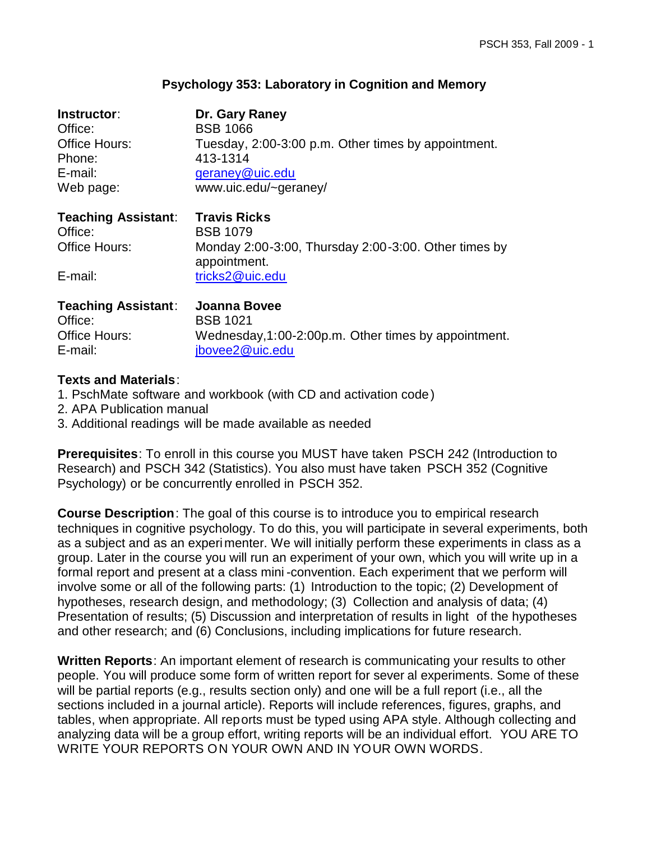#### **Psychology 353: Laboratory in Cognition and Memory**

| Instructor:<br>Office:     | Dr. Gary Raney<br><b>BSB 1066</b>                                    |
|----------------------------|----------------------------------------------------------------------|
| <b>Office Hours:</b>       | Tuesday, 2:00-3:00 p.m. Other times by appointment.                  |
| Phone:                     | 413-1314                                                             |
| E-mail:                    | geraney@uic.edu                                                      |
| Web page:                  | www.uic.edu/~geraney/                                                |
| <b>Teaching Assistant:</b> | <b>Travis Ricks</b>                                                  |
| Office:                    | <b>BSB 1079</b>                                                      |
| <b>Office Hours:</b>       | Monday 2:00-3:00, Thursday 2:00-3:00. Other times by<br>appointment. |
| E-mail:                    | tricks2@uic.edu                                                      |
| <b>Teaching Assistant:</b> | Joanna Bovee                                                         |
| Office:                    | <b>BSB 1021</b>                                                      |
| <b>Office Hours:</b>       | Wednesday, 1:00-2:00p.m. Other times by appointment.                 |
| E-mail:                    | jbovee2@uic.edu                                                      |

## **Texts and Materials**:

- 1. PschMate software and workbook (with CD and activation code)
- 2. APA Publication manual
- 3. Additional readings will be made available as needed

**Prerequisites**: To enroll in this course you MUST have taken PSCH 242 (Introduction to Research) and PSCH 342 (Statistics). You also must have taken PSCH 352 (Cognitive Psychology) or be concurrently enrolled in PSCH 352.

**Course Description**: The goal of this course is to introduce you to empirical research techniques in cognitive psychology. To do this, you will participate in several experiments, both as a subject and as an experimenter. We will initially perform these experiments in class as a group. Later in the course you will run an experiment of your own, which you will write up in a formal report and present at a class mini -convention. Each experiment that we perform will involve some or all of the following parts: (1) Introduction to the topic; (2) Development of hypotheses, research design, and methodology; (3) Collection and analysis of data; (4) Presentation of results; (5) Discussion and interpretation of results in light of the hypotheses and other research; and (6) Conclusions, including implications for future research.

**Written Reports**: An important element of research is communicating your results to other people. You will produce some form of written report for sever al experiments. Some of these will be partial reports (e.g., results section only) and one will be a full report (i.e., all the sections included in a journal article). Reports will include references, figures, graphs, and tables, when appropriate. All reports must be typed using APA style. Although collecting and analyzing data will be a group effort, writing reports will be an individual effort. YOU ARE TO WRITE YOUR REPORTS ON YOUR OWN AND IN YOUR OWN WORDS.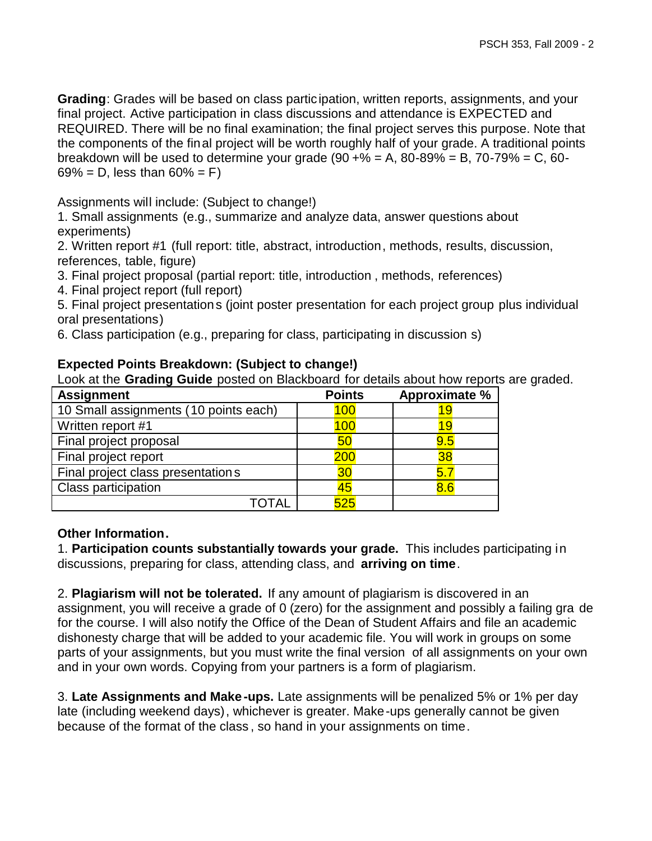**Grading**: Grades will be based on class participation, written reports, assignments, and your final project. Active participation in class discussions and attendance is EXPECTED and REQUIRED. There will be no final examination; the final project serves this purpose. Note that the components of the final project will be worth roughly half of your grade. A traditional points breakdown will be used to determine your grade  $(90 + % = A, 80 - 89% = B, 70 - 79% = C, 60 - 10)$  $69\% = D$ , less than  $60\% = F$ )

Assignments will include: (Subject to change!)

1. Small assignments (e.g., summarize and analyze data, answer questions about experiments)

2. Written report #1 (full report: title, abstract, introduction, methods, results, discussion, references, table, figure)

3. Final project proposal (partial report: title, introduction , methods, references)

4. Final project report (full report)

5. Final project presentations (joint poster presentation for each project group plus individual oral presentations)

6. Class participation (e.g., preparing for class, participating in discussion s)

| <b>Assignment</b>                     | $\sim$ . The state of the state process of plastic color to about the transfer of $\sim$<br><b>Points</b><br>Approximate % |     |
|---------------------------------------|----------------------------------------------------------------------------------------------------------------------------|-----|
|                                       |                                                                                                                            |     |
| 10 Small assignments (10 points each) | 100                                                                                                                        |     |
| Written report #1                     | 100                                                                                                                        |     |
| Final project proposal                | 50                                                                                                                         | 9.5 |
| Final project report                  | 200                                                                                                                        | 38  |
| Final project class presentations     | 30                                                                                                                         | 5.  |
| Class participation                   | 45                                                                                                                         | 8.6 |
|                                       | 525                                                                                                                        |     |

## **Expected Points Breakdown: (Subject to change!)**

Look at the **Grading Guide** posted on Blackboard for details about how reports are graded.

## **Other Information.**

1. **Participation counts substantially towards your grade.** This includes participating in discussions, preparing for class, attending class, and **arriving on time**.

2. **Plagiarism will not be tolerated.** If any amount of plagiarism is discovered in an assignment, you will receive a grade of 0 (zero) for the assignment and possibly a failing gra de for the course. I will also notify the Office of the Dean of Student Affairs and file an academic dishonesty charge that will be added to your academic file. You will work in groups on some parts of your assignments, but you must write the final version of all assignments on your own and in your own words. Copying from your partners is a form of plagiarism.

3. **Late Assignments and Make-ups.** Late assignments will be penalized 5% or 1% per day late (including weekend days), whichever is greater. Make-ups generally cannot be given because of the format of the class , so hand in your assignments on time.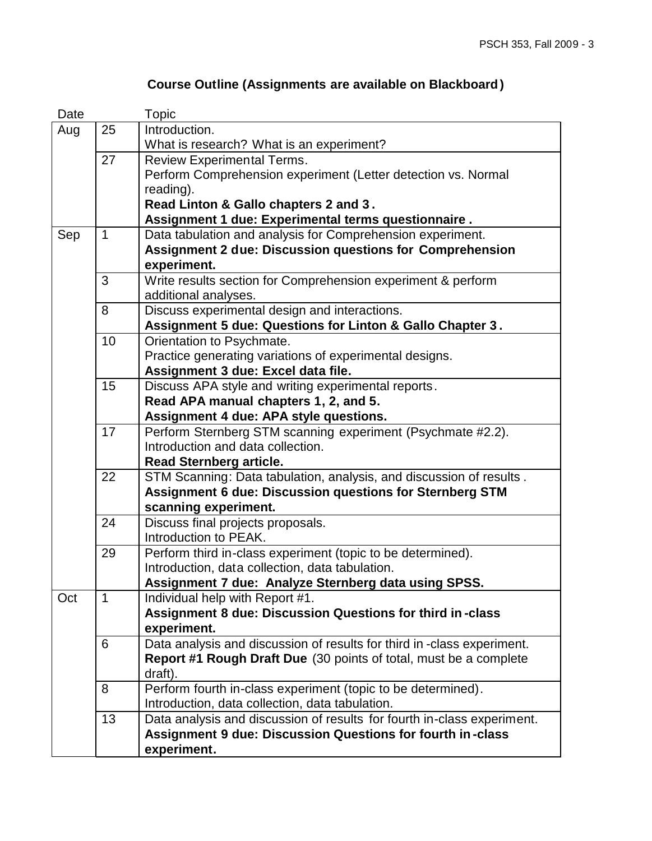| Date |                                                                 | Topic                                                                    |
|------|-----------------------------------------------------------------|--------------------------------------------------------------------------|
| Aug  | 25                                                              | Introduction.                                                            |
|      |                                                                 | What is research? What is an experiment?                                 |
|      | 27                                                              | <b>Review Experimental Terms.</b>                                        |
|      |                                                                 | Perform Comprehension experiment (Letter detection vs. Normal            |
|      |                                                                 | reading).                                                                |
|      |                                                                 | Read Linton & Gallo chapters 2 and 3.                                    |
|      |                                                                 | Assignment 1 due: Experimental terms questionnaire.                      |
| Sep  | $\mathbf{1}$                                                    | Data tabulation and analysis for Comprehension experiment.               |
|      | <b>Assignment 2 due: Discussion questions for Comprehension</b> |                                                                          |
|      |                                                                 | experiment.                                                              |
|      | 3                                                               | Write results section for Comprehension experiment & perform             |
|      |                                                                 | additional analyses.                                                     |
|      | 8                                                               | Discuss experimental design and interactions.                            |
|      |                                                                 | Assignment 5 due: Questions for Linton & Gallo Chapter 3.                |
|      | 10                                                              | Orientation to Psychmate.                                                |
|      |                                                                 | Practice generating variations of experimental designs.                  |
|      |                                                                 | Assignment 3 due: Excel data file.                                       |
|      | 15                                                              | Discuss APA style and writing experimental reports.                      |
|      |                                                                 | Read APA manual chapters 1, 2, and 5.                                    |
|      |                                                                 | Assignment 4 due: APA style questions.                                   |
|      | 17                                                              | Perform Sternberg STM scanning experiment (Psychmate #2.2).              |
|      |                                                                 | Introduction and data collection.                                        |
|      |                                                                 | <b>Read Sternberg article.</b>                                           |
|      | 22                                                              | STM Scanning: Data tabulation, analysis, and discussion of results.      |
|      |                                                                 | <b>Assignment 6 due: Discussion questions for Sternberg STM</b>          |
|      |                                                                 | scanning experiment.                                                     |
|      | 24                                                              | Discuss final projects proposals.                                        |
|      |                                                                 | Introduction to PEAK.                                                    |
|      | 29                                                              | Perform third in-class experiment (topic to be determined).              |
|      |                                                                 | Introduction, data collection, data tabulation.                          |
|      |                                                                 | Assignment 7 due: Analyze Sternberg data using SPSS.                     |
| Oct  | $\mathbf{1}$                                                    | Individual help with Report #1.                                          |
|      |                                                                 | Assignment 8 due: Discussion Questions for third in-class                |
|      |                                                                 | experiment.                                                              |
|      | 6                                                               | Data analysis and discussion of results for third in -class experiment.  |
|      |                                                                 | <b>Report #1 Rough Draft Due</b> (30 points of total, must be a complete |
|      |                                                                 | draft).                                                                  |
|      | 8                                                               | Perform fourth in-class experiment (topic to be determined).             |
|      |                                                                 | Introduction, data collection, data tabulation.                          |
|      | 13                                                              | Data analysis and discussion of results for fourth in-class experiment.  |
|      |                                                                 | <b>Assignment 9 due: Discussion Questions for fourth in-class</b>        |
|      |                                                                 | experiment.                                                              |

# **Course Outline (Assignments are available on Blackboard)**